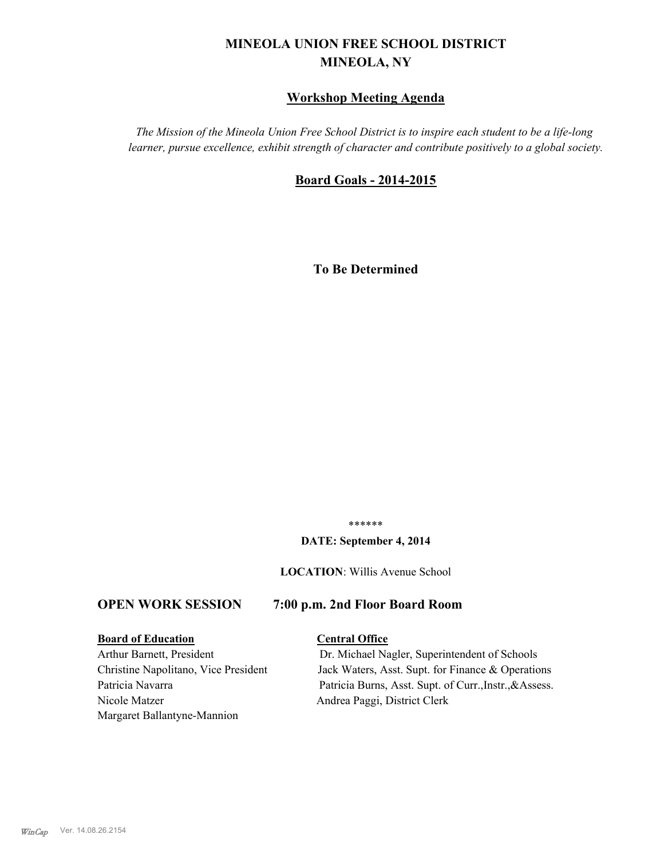# **MINEOLA UNION FREE SCHOOL DISTRICT MINEOLA, NY**

# **Workshop Meeting Agenda**

*The Mission of the Mineola Union Free School District is to inspire each student to be a life-long learner, pursue excellence, exhibit strength of character and contribute positively to a global society.*

## **Board Goals - 2014-2015**

**To Be Determined**

\*\*\*\*\*\*

#### **DATE: September 4, 2014**

**LOCATION**: Willis Avenue School

## **OPEN WORK SESSION 7:00 p.m. 2nd Floor Board Room**

## **Board of Education Central Office**

Nicole Matzer Andrea Paggi, District Clerk Margaret Ballantyne-Mannion

Arthur Barnett, President Dr. Michael Nagler, Superintendent of Schools Christine Napolitano, Vice President Jack Waters, Asst. Supt. for Finance & Operations Patricia Navarra Patricia Burns, Asst. Supt. of Curr., Instr., & Assess.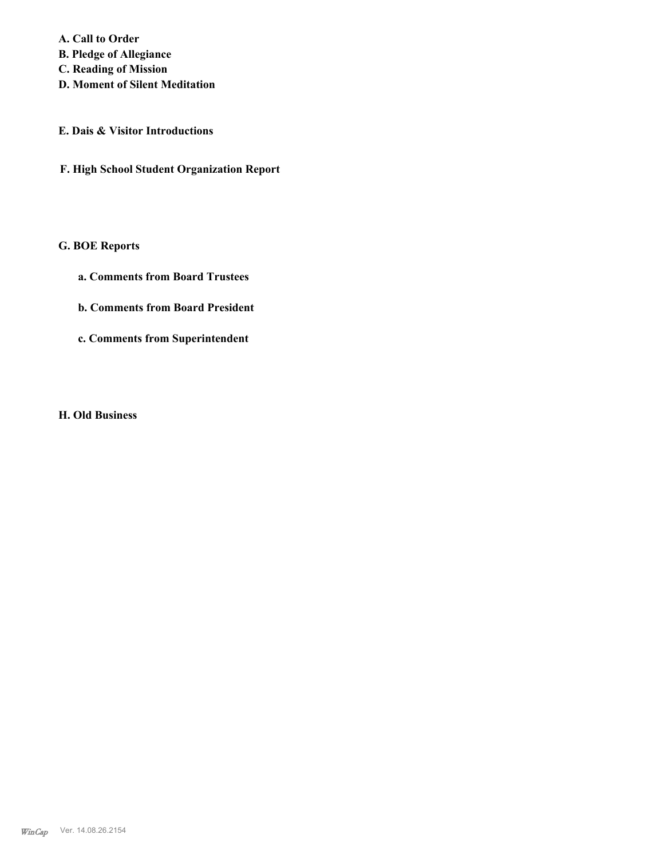**A. Call to Order B. Pledge of Allegiance C. Reading of Mission**

- **D. Moment of Silent Meditation**
- **E. Dais & Visitor Introductions**
- **F. High School Student Organization Report**

# **G. BOE Reports**

- **a. Comments from Board Trustees**
- **b. Comments from Board President**
- **c. Comments from Superintendent**

**H. Old Business**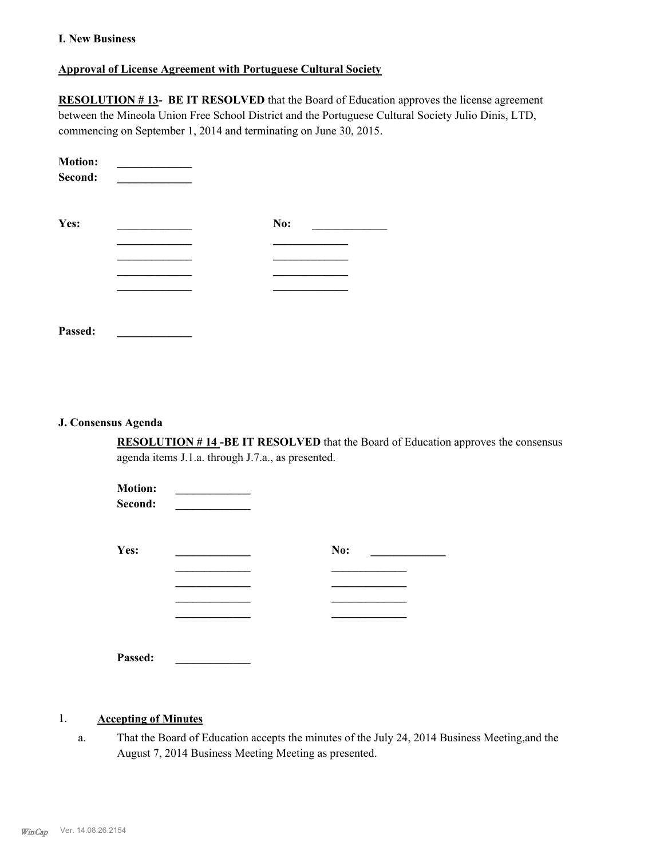### **I. New Business**

### **Approval of License Agreement with Portuguese Cultural Society**

**RESOLUTION # 13- BE IT RESOLVED** that the Board of Education approves the license agreement between the Mineola Union Free School District and the Portuguese Cultural Society Julio Dinis, LTD, commencing on September 1, 2014 and terminating on June 30, 2015.

| <b>Motion:</b><br>Second: |     |  |
|---------------------------|-----|--|
| Yes:                      | No: |  |
|                           |     |  |
|                           |     |  |
|                           |     |  |
|                           |     |  |
| Passed:                   |     |  |

#### **J. Consensus Agenda**

**RESOLUTION # 14 -BE IT RESOLVED** that the Board of Education approves the consensus agenda items J.1.a. through J.7.a., as presented.

| <b>Motion:</b><br>Second: |     |
|---------------------------|-----|
| Yes:                      | No: |
|                           |     |
|                           |     |
| Passed:                   |     |

### 1. **Accepting of Minutes**

That the Board of Education accepts the minutes of the July 24, 2014 Business Meeting,and the August 7, 2014 Business Meeting Meeting as presented. a.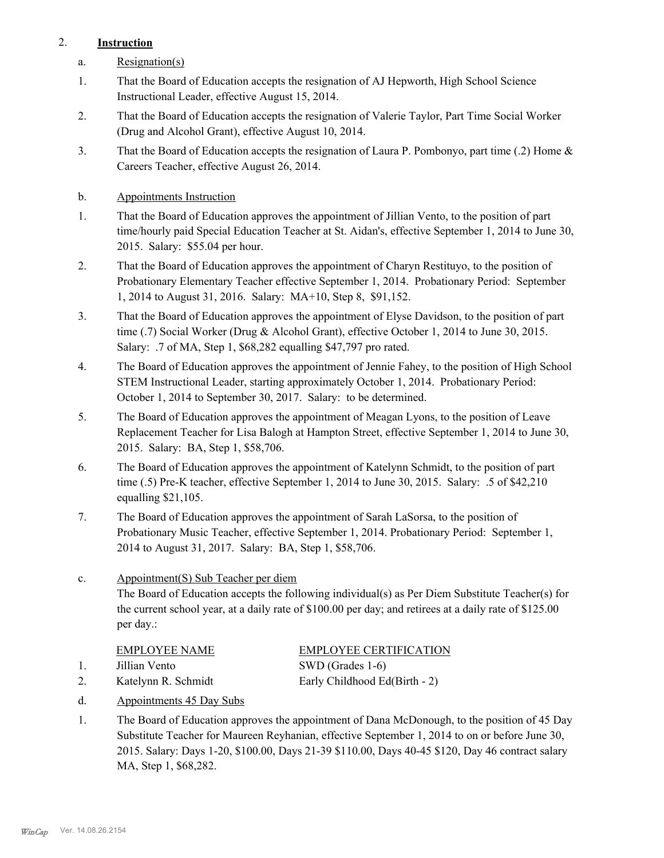# 2. **Instruction**

- a. Resignation(s)
- That the Board of Education accepts the resignation of AJ Hepworth, High School Science Instructional Leader, effective August 15, 2014. 1.
- That the Board of Education accepts the resignation of Valerie Taylor, Part Time Social Worker (Drug and Alcohol Grant), effective August 10, 2014. 2.
- That the Board of Education accepts the resignation of Laura P. Pombonyo, part time (.2) Home & Careers Teacher, effective August 26, 2014. 3.
- b. Appointments Instruction
- That the Board of Education approves the appointment of Jillian Vento, to the position of part time/hourly paid Special Education Teacher at St. Aidan's, effective September 1, 2014 to June 30, 2015. Salary: \$55.04 per hour. 1.
- That the Board of Education approves the appointment of Charyn Restituyo, to the position of Probationary Elementary Teacher effective September 1, 2014. Probationary Period: September 1, 2014 to August 31, 2016. Salary: MA+10, Step 8, \$91,152. 2.
- That the Board of Education approves the appointment of Elyse Davidson, to the position of part time (.7) Social Worker (Drug & Alcohol Grant), effective October 1, 2014 to June 30, 2015. Salary: .7 of MA, Step 1, \$68,282 equalling \$47,797 pro rated. 3.
- The Board of Education approves the appointment of Jennie Fahey, to the position of High School STEM Instructional Leader, starting approximately October 1, 2014. Probationary Period: October 1, 2014 to September 30, 2017. Salary: to be determined. 4.
- The Board of Education approves the appointment of Meagan Lyons, to the position of Leave Replacement Teacher for Lisa Balogh at Hampton Street, effective September 1, 2014 to June 30, 2015. Salary: BA, Step 1, \$58,706. 5.
- The Board of Education approves the appointment of Katelynn Schmidt, to the position of part time (.5) Pre-K teacher, effective September 1, 2014 to June 30, 2015. Salary: .5 of \$42,210 equalling \$21,105. 6.
- The Board of Education approves the appointment of Sarah LaSorsa, to the position of Probationary Music Teacher, effective September 1, 2014. Probationary Period: September 1, 2014 to August 31, 2017. Salary: BA, Step 1, \$58,706. 7.
- Appointment(S) Sub Teacher per diem The Board of Education accepts the following individual(s) as Per Diem Substitute Teacher(s) for the current school year, at a daily rate of \$100.00 per day; and retirees at a daily rate of \$125.00 per day.: c.

| EMPLOYEE NAME       | <b>EMPLOYEE CERTIFICATION</b> |
|---------------------|-------------------------------|
| Jillian Vento       | SWD (Grades 1-6)              |
| Katelynn R. Schmidt | Early Childhood Ed(Birth - 2) |

- d. Appointments 45 Day Subs
- The Board of Education approves the appointment of Dana McDonough, to the position of 45 Day Substitute Teacher for Maureen Reyhanian, effective September 1, 2014 to on or before June 30, 2015. Salary: Days 1-20, \$100.00, Days 21-39 \$110.00, Days 40-45 \$120, Day 46 contract salary MA, Step 1, \$68,282. 1.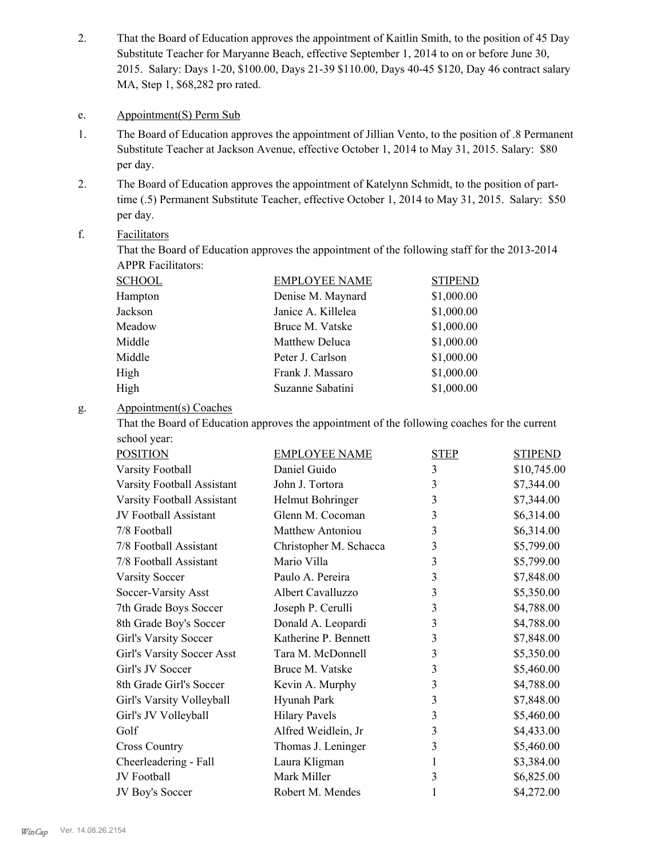That the Board of Education approves the appointment of Kaitlin Smith, to the position of 45 Day Substitute Teacher for Maryanne Beach, effective September 1, 2014 to on or before June 30, 2015. Salary: Days 1-20, \$100.00, Days 21-39 \$110.00, Days 40-45 \$120, Day 46 contract salary MA, Step 1, \$68,282 pro rated. 2.

#### e. Appointment(S) Perm Sub

- The Board of Education approves the appointment of Jillian Vento, to the position of .8 Permanent Substitute Teacher at Jackson Avenue, effective October 1, 2014 to May 31, 2015. Salary: \$80 per day. 1.
- The Board of Education approves the appointment of Katelynn Schmidt, to the position of parttime (.5) Permanent Substitute Teacher, effective October 1, 2014 to May 31, 2015. Salary: \$50 per day. 2.

#### Facilitators f.

That the Board of Education approves the appointment of the following staff for the 2013-2014 APPR Facilitators:

| SCHOOL  | <b>EMPLOYEE NAME</b> | <b>STIPEND</b> |
|---------|----------------------|----------------|
| Hampton | Denise M. Maynard    | \$1,000.00     |
| Jackson | Janice A. Killelea   | \$1,000.00     |
| Meadow  | Bruce M. Vatske      | \$1,000.00     |
| Middle  | Matthew Deluca       | \$1,000.00     |
| Middle  | Peter J. Carlson     | \$1,000.00     |
| High    | Frank J. Massaro     | \$1,000.00     |
| High    | Suzanne Sabatini     | \$1,000.00     |

#### Appointment(s) Coaches g.

That the Board of Education approves the appointment of the following coaches for the current school year:

| <b>POSITION</b>            | <b>EMPLOYEE NAME</b>    | <b>STEP</b> | <b>STIPEND</b> |
|----------------------------|-------------------------|-------------|----------------|
| Varsity Football           | Daniel Guido            | 3           | \$10,745.00    |
| Varsity Football Assistant | John J. Tortora         | 3           | \$7,344.00     |
| Varsity Football Assistant | Helmut Bohringer        | 3           | \$7,344.00     |
| JV Football Assistant      | Glenn M. Cocoman        | 3           | \$6,314.00     |
| 7/8 Football               | <b>Matthew Antoniou</b> | 3           | \$6,314.00     |
| 7/8 Football Assistant     | Christopher M. Schacca  | 3           | \$5,799.00     |
| 7/8 Football Assistant     | Mario Villa             | 3           | \$5,799.00     |
| <b>Varsity Soccer</b>      | Paulo A. Pereira        | 3           | \$7,848.00     |
| Soccer-Varsity Asst        | Albert Cavalluzzo       | 3           | \$5,350.00     |
| 7th Grade Boys Soccer      | Joseph P. Cerulli       | 3           | \$4,788.00     |
| 8th Grade Boy's Soccer     | Donald A. Leopardi      | 3           | \$4,788.00     |
| Girl's Varsity Soccer      | Katherine P. Bennett    | 3           | \$7,848.00     |
| Girl's Varsity Soccer Asst | Tara M. McDonnell       | 3           | \$5,350.00     |
| Girl's JV Soccer           | Bruce M. Vatske         | 3           | \$5,460.00     |
| 8th Grade Girl's Soccer    | Kevin A. Murphy         | 3           | \$4,788.00     |
| Girl's Varsity Volleyball  | Hyunah Park             | 3           | \$7,848.00     |
| Girl's JV Volleyball       | <b>Hilary Pavels</b>    | 3           | \$5,460.00     |
| Golf                       | Alfred Weidlein, Jr     | 3           | \$4,433.00     |
| <b>Cross Country</b>       | Thomas J. Leninger      | 3           | \$5,460.00     |
| Cheerleadering - Fall      | Laura Kligman           | 1           | \$3,384.00     |
| JV Football                | Mark Miller             | 3           | \$6,825.00     |
| JV Boy's Soccer            | Robert M. Mendes        | 1           | \$4,272.00     |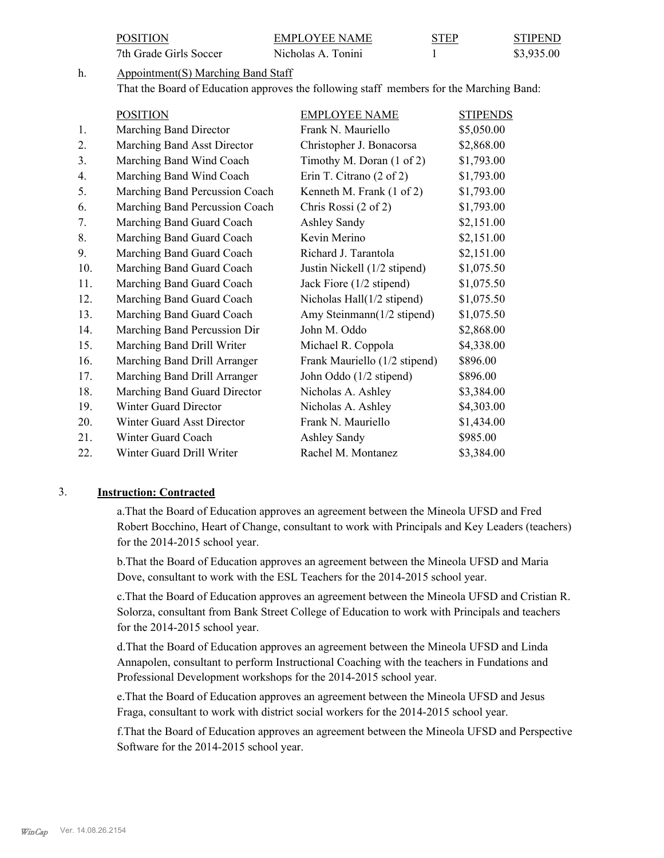|     | <b>POSITION</b>                                                                         | <b>EMPLOYEE NAME</b>                                | <b>STEP</b>     | <b>STIPEND</b> |
|-----|-----------------------------------------------------------------------------------------|-----------------------------------------------------|-----------------|----------------|
|     | 7th Grade Girls Soccer                                                                  | Nicholas A. Tonini                                  |                 | \$3,935.00     |
| h.  | Appointment(S) Marching Band Staff                                                      |                                                     |                 |                |
|     | That the Board of Education approves the following staff members for the Marching Band: |                                                     |                 |                |
|     | <b>POSITION</b>                                                                         | <b>EMPLOYEE NAME</b>                                | <b>STIPENDS</b> |                |
| 1.  | Marching Band Director                                                                  | Frank N. Mauriello                                  | \$5,050.00      |                |
| 2.  | Marching Band Asst Director                                                             | Christopher J. Bonacorsa                            | \$2,868.00      |                |
| 3.  | Marching Band Wind Coach                                                                | Timothy M. Doran $(1 \text{ of } 2)$                | \$1,793.00      |                |
| 4.  | Marching Band Wind Coach                                                                | Erin T. Citrano $(2 \text{ of } 2)$                 | \$1,793.00      |                |
| 5.  | Marching Band Percussion Coach                                                          | Kenneth M. Frank (1 of 2)                           | \$1,793.00      |                |
| 6.  | Marching Band Percussion Coach                                                          | Chris Rossi (2 of 2)                                | \$1,793.00      |                |
| 7.  | Marching Band Guard Coach                                                               | Ashley Sandy                                        | \$2,151.00      |                |
| 8.  | Marching Band Guard Coach                                                               | Kevin Merino                                        | \$2,151.00      |                |
| 9.  | Marching Band Guard Coach                                                               | Richard J. Tarantola                                | \$2,151.00      |                |
| 10. | Marching Band Guard Coach                                                               | Justin Nickell (1/2 stipend)                        | \$1,075.50      |                |
| 11. | Marching Band Guard Coach                                                               | Jack Fiore (1/2 stipend)                            | \$1,075.50      |                |
| 12  | Marahing Dand Guard Coach                                                               | $\text{Nicholog } \text{Hall}(1/2 \text{ etinard})$ | <b>C107550</b>  |                |

12. Marching Band Guard Coach Nicholas Hall(1/2 stipend) \$1,075.50 13. Marching Band Guard Coach Amy Steinmann(1/2 stipend) \$1,075.50 14. Marching Band Percussion Dir John M. Oddo \$2,868.00 15. Marching Band Drill Writer Michael R. Coppola \$4,338.00 16. Marching Band Drill Arranger Frank Mauriello (1/2 stipend) \$896.00 17. Marching Band Drill Arranger John Oddo (1/2 stipend) \$896.00 18. Marching Band Guard Director Nicholas A. Ashley \$3,384.00 19. Winter Guard Director Nicholas A. Ashley \$4,303.00 20. Winter Guard Asst Director Frank N. Mauriello \$1,434.00 21. Winter Guard Coach Ashley Sandy \$985.00 22. Winter Guard Drill Writer Rachel M. Montanez \$3,384.00

#### 3. **Instruction: Contracted**

a.That the Board of Education approves an agreement between the Mineola UFSD and Fred Robert Bocchino, Heart of Change, consultant to work with Principals and Key Leaders (teachers) for the 2014-2015 school year.

b.That the Board of Education approves an agreement between the Mineola UFSD and Maria Dove, consultant to work with the ESL Teachers for the 2014-2015 school year.

c.That the Board of Education approves an agreement between the Mineola UFSD and Cristian R. Solorza, consultant from Bank Street College of Education to work with Principals and teachers for the 2014-2015 school year.

d.That the Board of Education approves an agreement between the Mineola UFSD and Linda Annapolen, consultant to perform Instructional Coaching with the teachers in Fundations and Professional Development workshops for the 2014-2015 school year.

e.That the Board of Education approves an agreement between the Mineola UFSD and Jesus Fraga, consultant to work with district social workers for the 2014-2015 school year.

f.That the Board of Education approves an agreement between the Mineola UFSD and Perspective Software for the 2014-2015 school year.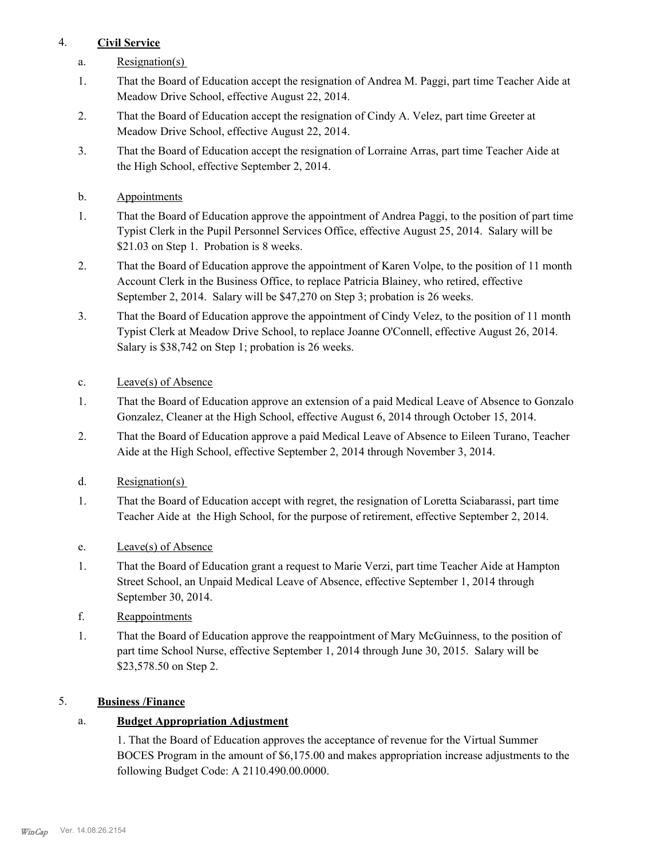# 4. **Civil Service**

- a. Resignation(s)
- That the Board of Education accept the resignation of Andrea M. Paggi, part time Teacher Aide at Meadow Drive School, effective August 22, 2014. 1.
- That the Board of Education accept the resignation of Cindy A. Velez, part time Greeter at Meadow Drive School, effective August 22, 2014. 2.
- That the Board of Education accept the resignation of Lorraine Arras, part time Teacher Aide at the High School, effective September 2, 2014. 3.
- b. Appointments
- That the Board of Education approve the appointment of Andrea Paggi, to the position of part time Typist Clerk in the Pupil Personnel Services Office, effective August 25, 2014. Salary will be \$21.03 on Step 1. Probation is 8 weeks. 1.
- That the Board of Education approve the appointment of Karen Volpe, to the position of 11 month Account Clerk in the Business Office, to replace Patricia Blainey, who retired, effective September 2, 2014. Salary will be \$47,270 on Step 3; probation is 26 weeks. 2.
- That the Board of Education approve the appointment of Cindy Velez, to the position of 11 month Typist Clerk at Meadow Drive School, to replace Joanne O'Connell, effective August 26, 2014. Salary is \$38,742 on Step 1; probation is 26 weeks. 3.
- c. Leave(s) of Absence
- That the Board of Education approve an extension of a paid Medical Leave of Absence to Gonzalo Gonzalez, Cleaner at the High School, effective August 6, 2014 through October 15, 2014. 1.
- That the Board of Education approve a paid Medical Leave of Absence to Eileen Turano, Teacher Aide at the High School, effective September 2, 2014 through November 3, 2014. 2.
- d. Resignation(s)
- That the Board of Education accept with regret, the resignation of Loretta Sciabarassi, part time Teacher Aide at the High School, for the purpose of retirement, effective September 2, 2014. 1.
- e. Leave(s) of Absence
- That the Board of Education grant a request to Marie Verzi, part time Teacher Aide at Hampton Street School, an Unpaid Medical Leave of Absence, effective September 1, 2014 through September 30, 2014. 1.
- f. Reappointments
- That the Board of Education approve the reappointment of Mary McGuinness, to the position of part time School Nurse, effective September 1, 2014 through June 30, 2015. Salary will be \$23,578.50 on Step 2. 1.

## 5. **Business /Finance**

# a. **Budget Appropriation Adjustment**

1. That the Board of Education approves the acceptance of revenue for the Virtual Summer BOCES Program in the amount of \$6,175.00 and makes appropriation increase adjustments to the following Budget Code: A 2110.490.00.0000.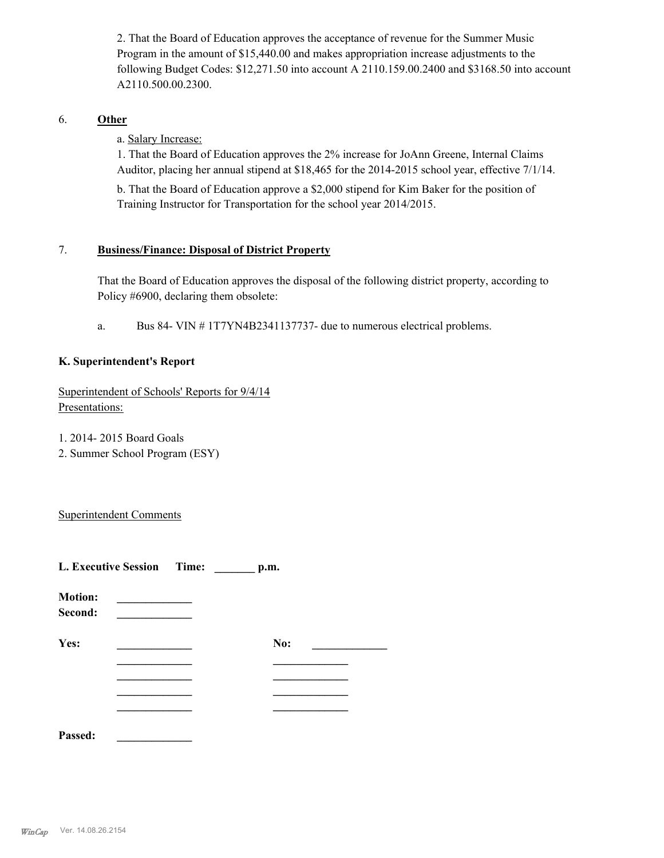2. That the Board of Education approves the acceptance of revenue for the Summer Music Program in the amount of \$15,440.00 and makes appropriation increase adjustments to the following Budget Codes: \$12,271.50 into account A 2110.159.00.2400 and \$3168.50 into account A2110.500.00.2300.

### 6. **Other**

a. Salary Increase:

1. That the Board of Education approves the 2% increase for JoAnn Greene, Internal Claims Auditor, placing her annual stipend at \$18,465 for the 2014-2015 school year, effective 7/1/14.

b. That the Board of Education approve a \$2,000 stipend for Kim Baker for the position of Training Instructor for Transportation for the school year 2014/2015.

#### **Business/Finance: Disposal of District Property** 7.

That the Board of Education approves the disposal of the following district property, according to Policy #6900, declaring them obsolete:

a. Bus 84- VIN # 1T7YN4B2341137737- due to numerous electrical problems.

### **K. Superintendent's Report**

Superintendent of Schools' Reports for 9/4/14 Presentations:

1. 2014- 2015 Board Goals

2. Summer School Program (ESY)

Superintendent Comments

| L. Executive Session Time: | p.m. |  |
|----------------------------|------|--|
| <b>Motion:</b><br>Second:  |      |  |
| Yes:                       | No:  |  |
|                            |      |  |
|                            |      |  |
|                            |      |  |
|                            |      |  |
| Passed:                    |      |  |